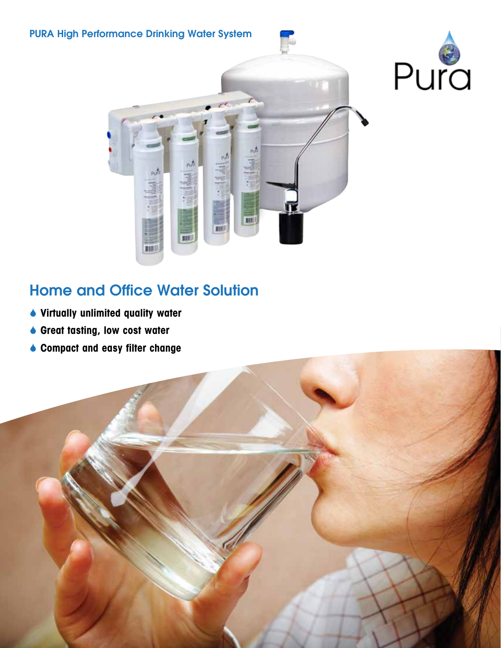

# Home and Office Water Solution

- Virtually unlimited quality water
- ◆ Great tasting, low cost water
- ♦ Compact and easy filter change

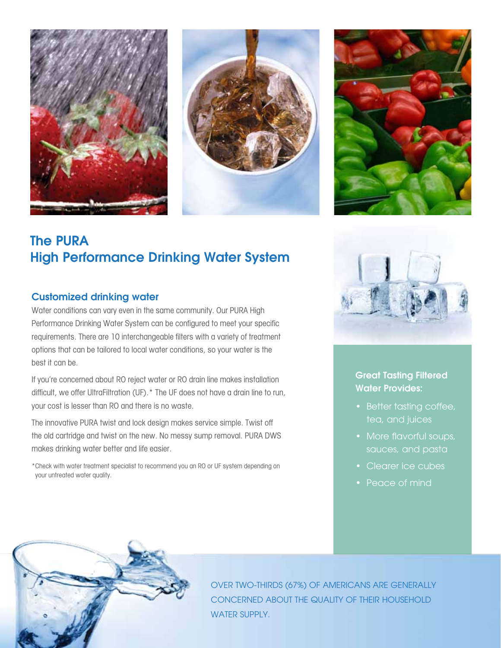





## The PURA High Performance Drinking Water System

### Customized drinking water

Water conditions can vary even in the same community. Our PURA High Performance Drinking Water System can be configured to meet your specific requirements. There are 10 interchangeable filters with a variety of treatment options that can be tailored to local water conditions, so your water is the best it can be.

If you're concerned about RO reject water or RO drain line makes installation difficult, we offer UltraFiltration (UF).\* The UF does not have a drain line to run, your cost is lesser than RO and there is no waste.

The innovative PURA twist and lock design makes service simple. Twist off the old cartridge and twist on the new. No messy sump removal. PURA DWS makes drinking water better and life easier.

\*Check with water treatment specialist to recommend you an RO or UF system depending on your untreated water quality.



Great Tasting Filtered Water Provides:

- Better tasting coffee, tea, and juices
- More flavorful soups,
- Clearer ice cubes
- Peace of mind



Over two-thirds (67%) of Americans are generally concerned about the quality of their household WATER SUPPLY.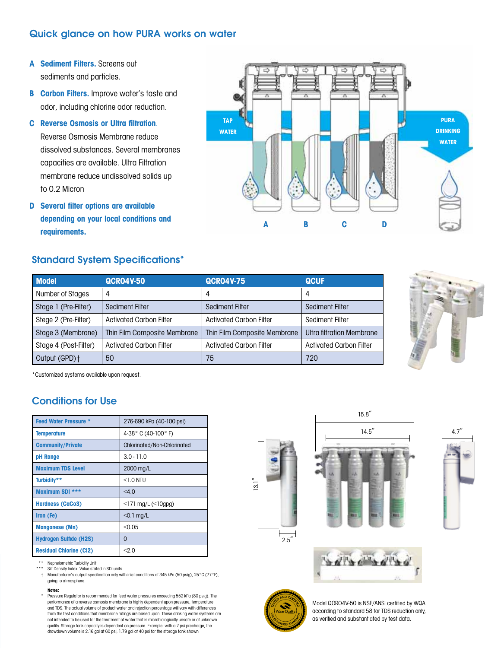### Quick glance on how PURA works on water

- A Sediment Filters. Screens out sediments and particles.
- **B** Carbon Filters. Improve water's taste and odor, including chlorine odor reduction.
- C Reverse Osmosis or Ultra filtration.

Reverse Osmosis Membrane reduce dissolved substances. Several membranes capacities are available. Ultra Filtration membrane reduce undissolved solids up to 0.2 Micron

D Several filter options are available depending on your local conditions and requirements.



### Standard System Specifications\*

| <b>Model</b>          | <b>QCRO4V-50</b>               | <b>QCRO4V-75</b>               | <b>QCUF</b>                    |  |
|-----------------------|--------------------------------|--------------------------------|--------------------------------|--|
| Number of Stages      | 4                              | 4                              | 4                              |  |
| Stage 1 (Pre-Filter)  | Sediment Filter                | Sediment Filter                | <b>Sediment Filter</b>         |  |
| Stege 2 (Pre-Filter)  | <b>Activated Carbon Filter</b> | <b>Activated Carbon Filter</b> | Sediment Filter                |  |
| Stage 3 (Membrane)    | Thin Film Composite Membrane   | Thin Film Composite Membrane   | Ultra filtration Membrane      |  |
| Stage 4 (Post-Filter) | Activated Carbon Filter        | <b>Activated Carbon Filter</b> | <b>Activated Carbon Filter</b> |  |
| Output (GPD)+         | 50                             | 75                             | 720                            |  |



\*Customized systems available upon request.

### Conditions for Use

| <b>Feed Water Pressure *</b>   | 276-690 kPa (40-100 psi)    |  |  |
|--------------------------------|-----------------------------|--|--|
| Temperature                    | 4-38° C (40-100° F)         |  |  |
| <b>Community/Private</b>       | Chlorinated/Non-Chlorinated |  |  |
| pH Range                       | $3.0 - 11.0$                |  |  |
| <b>Maximum TDS Level</b>       | 2000 mg/L                   |  |  |
| Turbidity**                    | $<$ 1 $\Omega$ NTIJ         |  |  |
| Maximum SDI ***                | <4.0                        |  |  |
| <b>Hardness (CaCo3)</b>        | $<$ 171 mg/L $(<$ 10gpg)    |  |  |
| Iron (Fe)                      | $<$ 0.1 mg/L                |  |  |
| <b>Manganese (Mn)</b>          | < 0.05                      |  |  |
| <b>Hydrogen Sulfide (H2S)</b>  | 0                           |  |  |
| <b>Residual Chlorine (Cl2)</b> | < 2.0                       |  |  |

\*\* Nephelometric Turbidity Unit

\* Silt Density Index: Value stated in SDI units<br>+ Manufacturer's output specification only wit

† Manufacturer's output specification only with inlet conditions of 345 kPa (50 psig), 25°C (77°F), going to atmosphere.

#### Notes:

Pressure Regulator is recommended for feed water pressures exceeding 552 kPa (80 psig). The performance of a reverse osmosis membrane is highly dependent upon pressure, temperature and TDS. The actual volume of product water and rejection percentage will vary with differences from the test conditions that membrane ratings are based upon. These drinking water systems are not intended to be used for the treatment of water that is microbiologically unsafe or of unknown quality. Storage tank capacity is dependent on pressure. Example: with a 7 psi precharge, the drawdown volume is 2.16 gal at 60 psi, 1.79 gal at 40 psi for the storage tank shown











Model QCRO4V-50 is NSF/ANSI certified by WQA according to standard 58 for TDS reduction only, as verified and substantiated by test data.